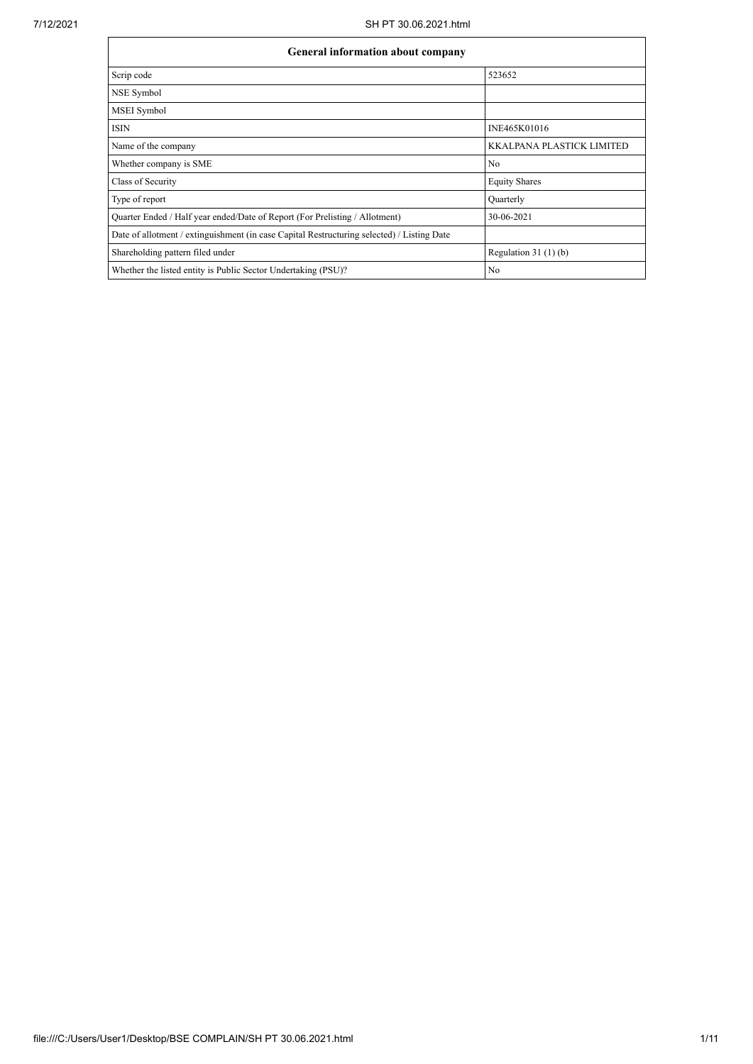$\mathsf{r}$ 

| <b>General information about company</b>                                                   |                                  |
|--------------------------------------------------------------------------------------------|----------------------------------|
| Scrip code                                                                                 | 523652                           |
| NSE Symbol                                                                                 |                                  |
| MSEI Symbol                                                                                |                                  |
| <b>ISIN</b>                                                                                | INE465K01016                     |
| Name of the company                                                                        | <b>KKALPANA PLASTICK LIMITED</b> |
| Whether company is SME                                                                     | N <sub>o</sub>                   |
| Class of Security                                                                          | <b>Equity Shares</b>             |
| Type of report                                                                             | Quarterly                        |
| Quarter Ended / Half year ended/Date of Report (For Prelisting / Allotment)                | 30-06-2021                       |
| Date of allotment / extinguishment (in case Capital Restructuring selected) / Listing Date |                                  |
| Shareholding pattern filed under                                                           | Regulation $31(1)(b)$            |
| Whether the listed entity is Public Sector Undertaking (PSU)?                              | No                               |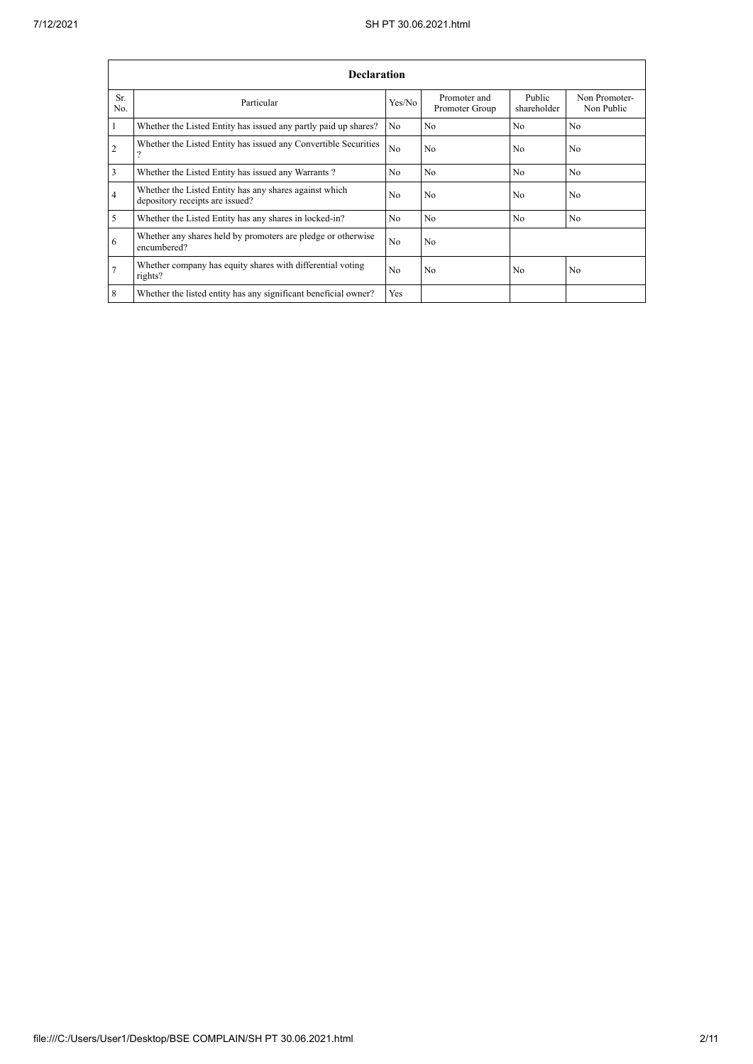|                | <b>Declaration</b>                                                                        |                |                                |                       |                             |  |  |  |  |  |  |  |
|----------------|-------------------------------------------------------------------------------------------|----------------|--------------------------------|-----------------------|-----------------------------|--|--|--|--|--|--|--|
| Sr.<br>No.     | Particular                                                                                | Yes/No         | Promoter and<br>Promoter Group | Public<br>shareholder | Non Promoter-<br>Non Public |  |  |  |  |  |  |  |
|                | Whether the Listed Entity has issued any partly paid up shares?                           | N <sub>0</sub> | N <sub>0</sub>                 | N <sub>0</sub>        | N <sub>0</sub>              |  |  |  |  |  |  |  |
| $\overline{c}$ | Whether the Listed Entity has issued any Convertible Securities                           | N <sub>0</sub> | N <sub>0</sub>                 | N <sub>0</sub>        | N <sub>0</sub>              |  |  |  |  |  |  |  |
| 3              | Whether the Listed Entity has issued any Warrants?                                        | N <sub>0</sub> | N <sub>0</sub>                 | N <sub>0</sub>        | N <sub>0</sub>              |  |  |  |  |  |  |  |
| 4              | Whether the Listed Entity has any shares against which<br>depository receipts are issued? | No             | N <sub>o</sub>                 | No                    | N <sub>o</sub>              |  |  |  |  |  |  |  |
| 5              | Whether the Listed Entity has any shares in locked-in?                                    | N <sub>o</sub> | N <sub>o</sub>                 | N <sub>o</sub>        | N <sub>0</sub>              |  |  |  |  |  |  |  |
| 6              | Whether any shares held by promoters are pledge or otherwise<br>encumbered?               | N <sub>0</sub> | N <sub>o</sub>                 |                       |                             |  |  |  |  |  |  |  |
| 7              | Whether company has equity shares with differential voting<br>rights?                     | N <sub>0</sub> | N <sub>0</sub>                 | N <sub>0</sub>        | N <sub>0</sub>              |  |  |  |  |  |  |  |
| 8              | Whether the listed entity has any significant beneficial owner?                           | Yes            |                                |                       |                             |  |  |  |  |  |  |  |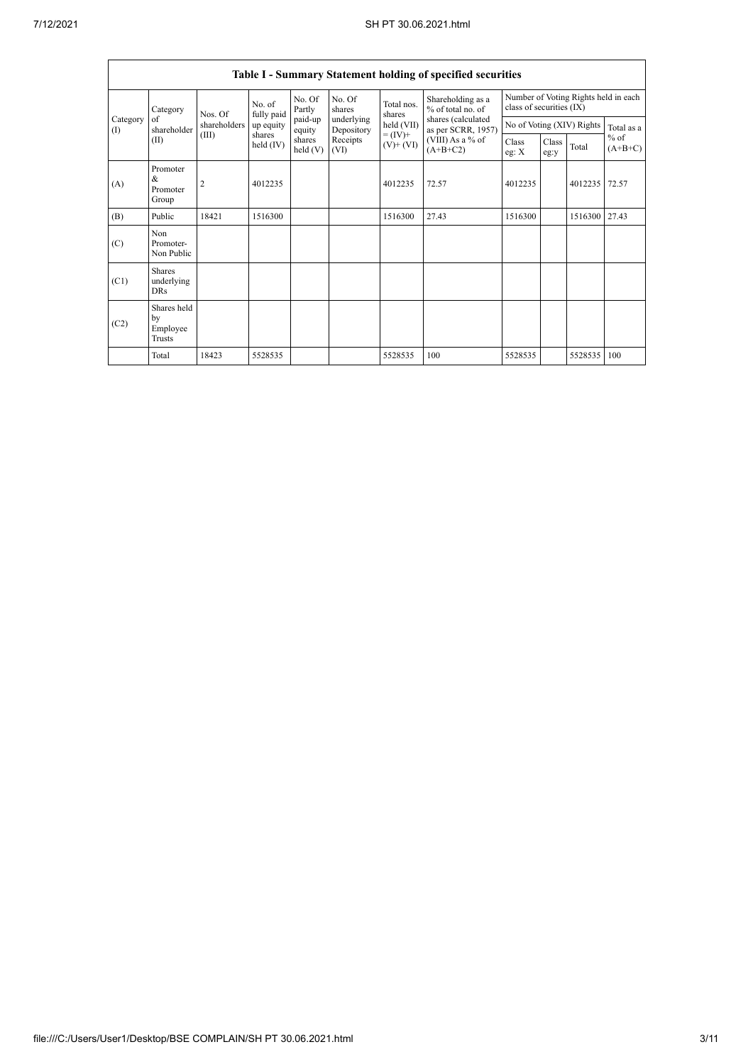|                          |                                                |                |                       |                   |                          |                                                                    | Table I - Summary Statement holding of specified securities                                                          |                                                                  |               |                           |                     |  |
|--------------------------|------------------------------------------------|----------------|-----------------------|-------------------|--------------------------|--------------------------------------------------------------------|----------------------------------------------------------------------------------------------------------------------|------------------------------------------------------------------|---------------|---------------------------|---------------------|--|
|                          | Category                                       | Nos. Of        | No. of<br>fully paid  | No. Of<br>Partly  | No. Of<br>shares         | Total nos.<br>shares<br>held (VII)<br>$= (IV) +$<br>$(V)$ + $(VI)$ | Shareholding as a<br>% of total no. of<br>shares (calculated<br>as per SCRR, 1957)<br>(VIII) As a % of<br>$(A+B+C2)$ | Number of Voting Rights held in each<br>class of securities (IX) |               |                           |                     |  |
| Category<br>$($ $\Gamma$ | of<br>shareholder                              | shareholders   | up equity             | paid-up<br>equity | underlying<br>Depository |                                                                    |                                                                                                                      |                                                                  |               | No of Voting (XIV) Rights | Total as a          |  |
|                          | (II)                                           | (III)          | shares<br>held $(IV)$ | shares<br>held(V) | Receipts<br>(VI)         |                                                                    |                                                                                                                      | Class<br>eg: $X$                                                 | Class<br>eg:y | Total                     | $%$ of<br>$(A+B+C)$ |  |
| (A)                      | Promoter<br>&<br>Promoter<br>Group             | $\overline{2}$ | 4012235               |                   |                          | 4012235                                                            | 72.57                                                                                                                | 4012235                                                          |               | 4012235                   | 72.57               |  |
| (B)                      | Public                                         | 18421          | 1516300               |                   |                          | 1516300                                                            | 27.43                                                                                                                | 1516300                                                          |               | 1516300                   | 27.43               |  |
| (C)                      | Non<br>Promoter-<br>Non Public                 |                |                       |                   |                          |                                                                    |                                                                                                                      |                                                                  |               |                           |                     |  |
| (C1)                     | <b>Shares</b><br>underlying<br><b>DRs</b>      |                |                       |                   |                          |                                                                    |                                                                                                                      |                                                                  |               |                           |                     |  |
| (C2)                     | Shares held<br>by<br>Employee<br><b>Trusts</b> |                |                       |                   |                          |                                                                    |                                                                                                                      |                                                                  |               |                           |                     |  |
|                          | Total                                          | 18423          | 5528535               |                   |                          | 5528535                                                            | 100                                                                                                                  | 5528535                                                          |               | 5528535                   | 100                 |  |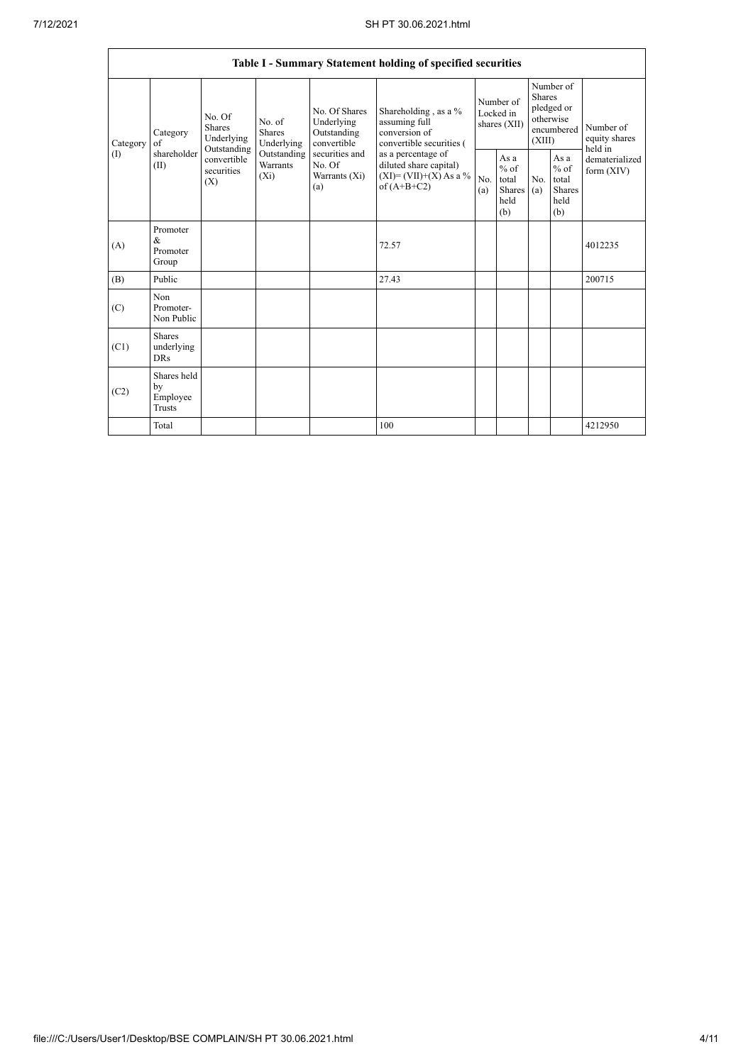|                 |                                         |                                                                                   |                                                                      |                                                                                                               | Table I - Summary Statement holding of specified securities                              |                                        |                                                  |                                                                               |                                                         |                                       |
|-----------------|-----------------------------------------|-----------------------------------------------------------------------------------|----------------------------------------------------------------------|---------------------------------------------------------------------------------------------------------------|------------------------------------------------------------------------------------------|----------------------------------------|--------------------------------------------------|-------------------------------------------------------------------------------|---------------------------------------------------------|---------------------------------------|
| Category<br>(1) | Category<br>of<br>shareholder<br>(II)   | No. Of<br>Shares<br>Underlying<br>Outstanding<br>convertible<br>securities<br>(X) | No. of<br>Shares<br>Underlying<br>Outstanding<br>Warrants<br>$(X_i)$ | No. Of Shares<br>Underlying<br>Outstanding<br>convertible<br>securities and<br>No. Of<br>Warrants (Xi)<br>(a) | Shareholding, as a %<br>assuming full<br>conversion of<br>convertible securities (       | Number of<br>Locked in<br>shares (XII) |                                                  | Number of<br><b>Shares</b><br>pledged or<br>otherwise<br>encumbered<br>(XIII) |                                                         | Number of<br>equity shares<br>held in |
|                 |                                         |                                                                                   |                                                                      |                                                                                                               | as a percentage of<br>diluted share capital)<br>$(XI)=(VII)+(X) As a %$<br>of $(A+B+C2)$ | No.<br>(a)                             | As a<br>$%$ of<br>total<br>Shares<br>held<br>(b) | No.<br>(a)                                                                    | As a<br>$%$ of<br>total<br><b>Shares</b><br>held<br>(b) | dematerialized<br>form $(XIV)$        |
| (A)             | Promoter<br>&<br>Promoter<br>Group      |                                                                                   |                                                                      |                                                                                                               | 72.57                                                                                    |                                        |                                                  |                                                                               |                                                         | 4012235                               |
| (B)             | Public                                  |                                                                                   |                                                                      |                                                                                                               | 27.43                                                                                    |                                        |                                                  |                                                                               |                                                         | 200715                                |
| (C)             | Non<br>Promoter-<br>Non Public          |                                                                                   |                                                                      |                                                                                                               |                                                                                          |                                        |                                                  |                                                                               |                                                         |                                       |
| (C1)            | Shares<br>underlying<br><b>DRs</b>      |                                                                                   |                                                                      |                                                                                                               |                                                                                          |                                        |                                                  |                                                                               |                                                         |                                       |
| (C2)            | Shares held<br>by<br>Employee<br>Trusts |                                                                                   |                                                                      |                                                                                                               |                                                                                          |                                        |                                                  |                                                                               |                                                         |                                       |
|                 | Total                                   |                                                                                   |                                                                      |                                                                                                               | 100                                                                                      |                                        |                                                  |                                                                               |                                                         | 4212950                               |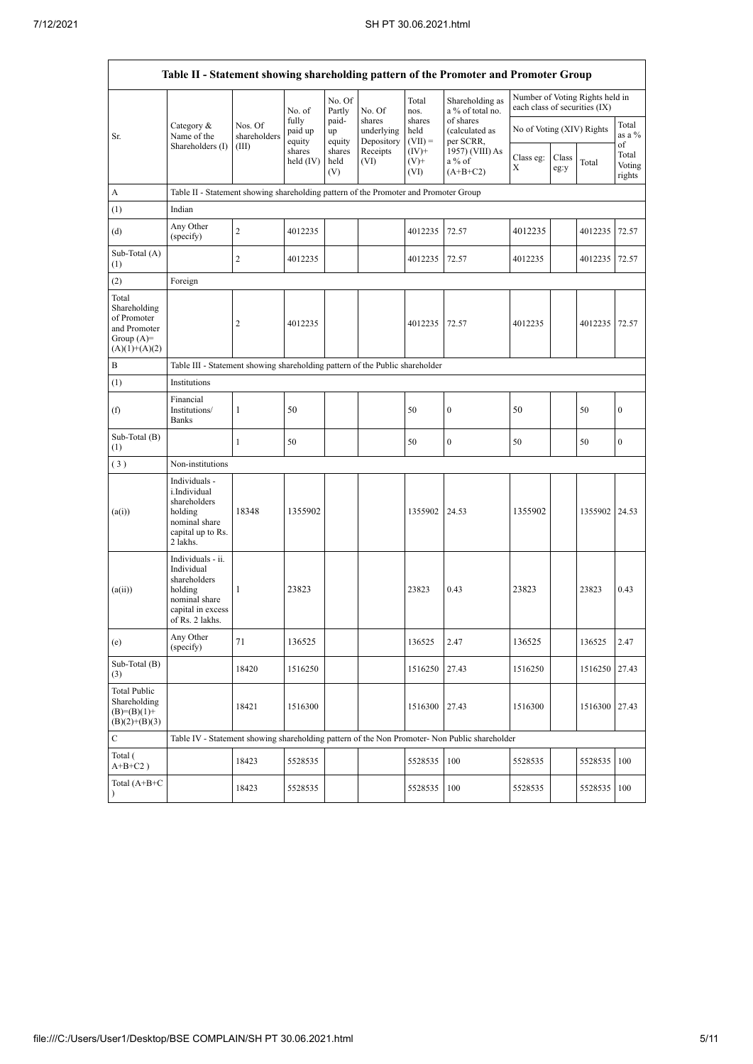|                                                                                         |                                                                                                                     |                                                                              |                            |                       |                                    |                             | Table II - Statement showing shareholding pattern of the Promoter and Promoter Group          |                                                                  |               |               |                                 |  |  |  |
|-----------------------------------------------------------------------------------------|---------------------------------------------------------------------------------------------------------------------|------------------------------------------------------------------------------|----------------------------|-----------------------|------------------------------------|-----------------------------|-----------------------------------------------------------------------------------------------|------------------------------------------------------------------|---------------|---------------|---------------------------------|--|--|--|
|                                                                                         |                                                                                                                     |                                                                              | No. of                     | No. Of<br>Partly      | No. Of                             | Total<br>nos.               | Shareholding as<br>a % of total no.                                                           | Number of Voting Rights held in<br>each class of securities (IX) |               |               |                                 |  |  |  |
| Sr.                                                                                     | Category &<br>Name of the                                                                                           | Nos. Of<br>shareholders                                                      | fully<br>paid up<br>equity | paid-<br>up<br>equity | shares<br>underlying<br>Depository | shares<br>held<br>$(VII) =$ | of shares<br>(calculated as<br>per SCRR,                                                      | No of Voting (XIV) Rights                                        |               |               | Total<br>as a %                 |  |  |  |
|                                                                                         | Shareholders (I)                                                                                                    | (III)                                                                        | shares<br>held (IV)        | shares<br>held<br>(V) | Receipts<br>(VI)                   | $(IV)+$<br>$(V)$ +<br>(VI)  | 1957) (VIII) As<br>$a\%$ of<br>$(A+B+C2)$                                                     | Class eg:<br>X                                                   | Class<br>eg:y | Total         | of<br>Total<br>Voting<br>rights |  |  |  |
| А                                                                                       | Table II - Statement showing shareholding pattern of the Promoter and Promoter Group                                |                                                                              |                            |                       |                                    |                             |                                                                                               |                                                                  |               |               |                                 |  |  |  |
| (1)                                                                                     | Indian                                                                                                              |                                                                              |                            |                       |                                    |                             |                                                                                               |                                                                  |               |               |                                 |  |  |  |
| (d)                                                                                     | Any Other<br>(specify)                                                                                              | $\overline{c}$                                                               | 4012235                    |                       |                                    | 4012235                     | 72.57                                                                                         | 4012235                                                          |               | 4012235       | 72.57                           |  |  |  |
| Sub-Total (A)<br>(1)                                                                    |                                                                                                                     | $\overline{c}$                                                               | 4012235                    |                       |                                    | 4012235                     | 72.57                                                                                         | 4012235                                                          |               | 4012235       | 72.57                           |  |  |  |
| (2)                                                                                     | Foreign                                                                                                             |                                                                              |                            |                       |                                    |                             |                                                                                               |                                                                  |               |               |                                 |  |  |  |
| Total<br>Shareholding<br>of Promoter<br>and Promoter<br>Group $(A)=$<br>$(A)(1)+(A)(2)$ |                                                                                                                     | 2                                                                            | 4012235                    |                       |                                    | 4012235                     | 72.57                                                                                         | 4012235                                                          |               | 4012235       | 72.57                           |  |  |  |
| B                                                                                       |                                                                                                                     | Table III - Statement showing shareholding pattern of the Public shareholder |                            |                       |                                    |                             |                                                                                               |                                                                  |               |               |                                 |  |  |  |
| (1)                                                                                     | Institutions                                                                                                        |                                                                              |                            |                       |                                    |                             |                                                                                               |                                                                  |               |               |                                 |  |  |  |
| (f)                                                                                     | Financial<br>Institutions/<br><b>Banks</b>                                                                          | 1                                                                            | 50                         |                       |                                    | 50                          | $\bf{0}$                                                                                      | 50                                                               |               | 50            | $\boldsymbol{0}$                |  |  |  |
| Sub-Total (B)<br>(1)                                                                    |                                                                                                                     | $\mathbf{1}$                                                                 | 50                         |                       |                                    | 50                          | $\bf{0}$                                                                                      | 50                                                               |               | 50            | $\boldsymbol{0}$                |  |  |  |
| (3)                                                                                     | Non-institutions                                                                                                    |                                                                              |                            |                       |                                    |                             |                                                                                               |                                                                  |               |               |                                 |  |  |  |
| (a(i))                                                                                  | Individuals -<br>i.Individual<br>shareholders<br>holding<br>nominal share<br>capital up to Rs.<br>2 lakhs.          | 18348                                                                        | 1355902                    |                       |                                    | 1355902                     | 24.53                                                                                         | 1355902                                                          |               | 1355902 24.53 |                                 |  |  |  |
| (a(ii))                                                                                 | Individuals - ii.<br>Individual<br>shareholders<br>holding<br>nominal share<br>capital in excess<br>of Rs. 2 lakhs. | 1                                                                            | 23823                      |                       |                                    | 23823                       | 0.43                                                                                          | 23823                                                            |               | 23823         | 0.43                            |  |  |  |
| (e)                                                                                     | Any Other<br>(specify)                                                                                              | 71                                                                           | 136525                     |                       |                                    | 136525                      | 2.47                                                                                          | 136525                                                           |               | 136525        | 2.47                            |  |  |  |
| Sub-Total (B)<br>(3)                                                                    |                                                                                                                     | 18420                                                                        | 1516250                    |                       |                                    | 1516250                     | 27.43                                                                                         | 1516250                                                          |               | 1516250       | 27.43                           |  |  |  |
| <b>Total Public</b><br>Shareholding<br>$(B)=(B)(1)+$<br>$(B)(2)+(B)(3)$                 |                                                                                                                     | 18421                                                                        | 1516300                    |                       |                                    | 1516300                     | 27.43                                                                                         | 1516300                                                          |               | 1516300       | 27.43                           |  |  |  |
| $\mathbf C$                                                                             |                                                                                                                     |                                                                              |                            |                       |                                    |                             | Table IV - Statement showing shareholding pattern of the Non Promoter- Non Public shareholder |                                                                  |               |               |                                 |  |  |  |
| Total (<br>$A+B+C2$ )                                                                   |                                                                                                                     | 18423                                                                        | 5528535                    |                       |                                    | 5528535                     | 100                                                                                           | 5528535                                                          |               | 5528535       | 100                             |  |  |  |
| Total $(A+B+C)$<br>$\lambda$                                                            |                                                                                                                     | 18423                                                                        | 5528535                    |                       |                                    | 5528535                     | 100                                                                                           | 5528535                                                          |               | 5528535       | 100                             |  |  |  |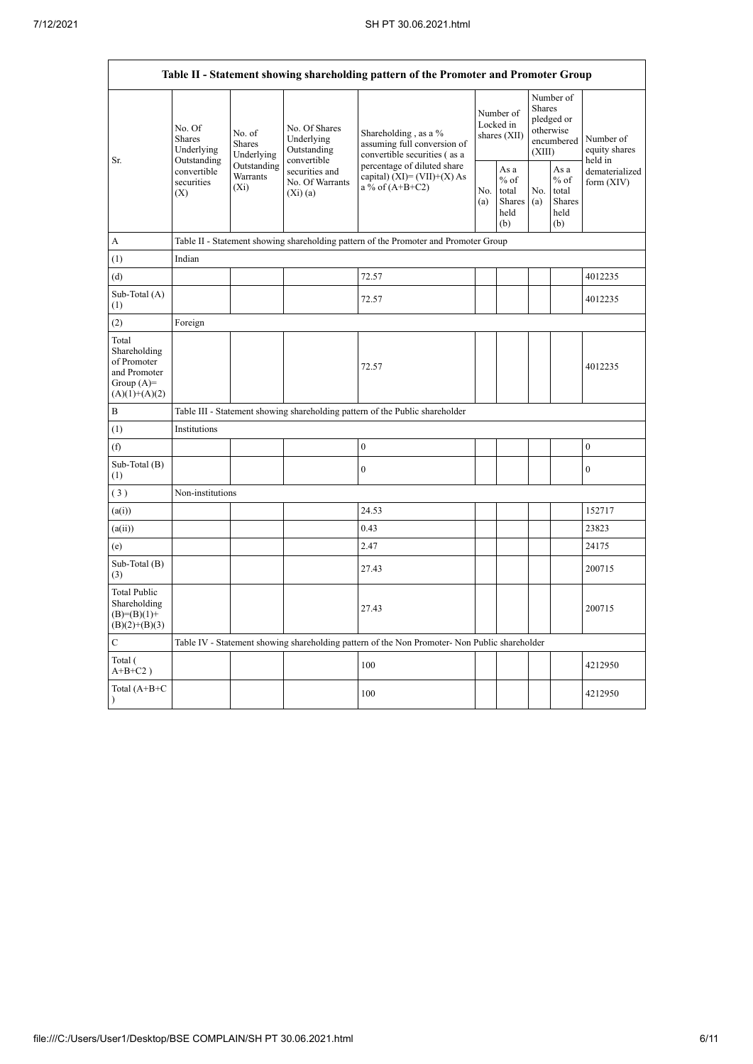|                                                                                                                                                                                                                                                                                                                                                                                                                                                                                                                                                                                                                                                                                                                                                                                                                                                                                                                                                                                                                                                                                                                                                                                                | No. Of<br>Shares<br>Underlying   | No. of<br><b>Shares</b>            | No. Of Shares<br>Underlying<br>Outstanding      | Shareholding, as a %<br>assuming full conversion of<br>convertible securities (as a |            | Number of<br>Locked in<br>shares (XII)           |            |                                                  | Number of<br>equity shares   |  |  |  |  |  |
|------------------------------------------------------------------------------------------------------------------------------------------------------------------------------------------------------------------------------------------------------------------------------------------------------------------------------------------------------------------------------------------------------------------------------------------------------------------------------------------------------------------------------------------------------------------------------------------------------------------------------------------------------------------------------------------------------------------------------------------------------------------------------------------------------------------------------------------------------------------------------------------------------------------------------------------------------------------------------------------------------------------------------------------------------------------------------------------------------------------------------------------------------------------------------------------------|----------------------------------|------------------------------------|-------------------------------------------------|-------------------------------------------------------------------------------------|------------|--------------------------------------------------|------------|--------------------------------------------------|------------------------------|--|--|--|--|--|
|                                                                                                                                                                                                                                                                                                                                                                                                                                                                                                                                                                                                                                                                                                                                                                                                                                                                                                                                                                                                                                                                                                                                                                                                | convertible<br>securities<br>(X) | Outstanding<br>Warrants<br>$(X_i)$ | securities and<br>No. Of Warrants<br>$(X_i)(a)$ | percentage of diluted share<br>capital) $(XI) = (VII)+(X) As$<br>a % of $(A+B+C2)$  | No.<br>(a) | As a<br>$%$ of<br>total<br>Shares<br>held<br>(b) | No.<br>(a) | As a<br>$%$ of<br>total<br>Shares<br>held<br>(b) | dematerialized<br>form (XIV) |  |  |  |  |  |
| Table II - Statement showing shareholding pattern of the Promoter and Promoter Group<br>Number of<br><b>Shares</b><br>pledged or<br>otherwise<br>encumbered<br>(XIII)<br>Underlying<br>convertible<br>held in<br>Outstanding<br>Sr.<br>Table II - Statement showing shareholding pattern of the Promoter and Promoter Group<br>A<br>Indian<br>(1)<br>72.57<br>(d)<br>4012235<br>Sub-Total (A)<br>72.57<br>4012235<br>(1)<br>(2)<br>Foreign<br>Total<br>Shareholding<br>of Promoter<br>72.57<br>4012235<br>and Promoter<br>Group $(A)=$<br>$(A)(1)+(A)(2)$<br>B<br>Table III - Statement showing shareholding pattern of the Public shareholder<br>(1)<br>Institutions<br>$\boldsymbol{0}$<br>(f)<br>$\boldsymbol{0}$<br>Sub-Total (B)<br>$\overline{0}$<br>$\mathbf{0}$<br>(1)<br>(3)<br>Non-institutions<br>24.53<br>152717<br>(a(i))<br>0.43<br>(a(ii))<br>23823<br>2.47<br>24175<br>(e)<br>Sub-Total (B)<br>27.43<br>200715<br>(3)<br><b>Total Public</b><br>Shareholding<br>27.43<br>200715<br>$(B)=(B)(1)+$<br>$(B)(2)+(B)(3)$<br>$\mathbf C$<br>Table IV - Statement showing shareholding pattern of the Non Promoter- Non Public shareholder<br>Total (<br>100<br>4212950<br>$A+B+C2$ ) |                                  |                                    |                                                 |                                                                                     |            |                                                  |            |                                                  |                              |  |  |  |  |  |
|                                                                                                                                                                                                                                                                                                                                                                                                                                                                                                                                                                                                                                                                                                                                                                                                                                                                                                                                                                                                                                                                                                                                                                                                |                                  |                                    |                                                 |                                                                                     |            |                                                  |            |                                                  |                              |  |  |  |  |  |
|                                                                                                                                                                                                                                                                                                                                                                                                                                                                                                                                                                                                                                                                                                                                                                                                                                                                                                                                                                                                                                                                                                                                                                                                |                                  |                                    |                                                 |                                                                                     |            |                                                  |            |                                                  |                              |  |  |  |  |  |
|                                                                                                                                                                                                                                                                                                                                                                                                                                                                                                                                                                                                                                                                                                                                                                                                                                                                                                                                                                                                                                                                                                                                                                                                |                                  |                                    |                                                 |                                                                                     |            |                                                  |            |                                                  |                              |  |  |  |  |  |
|                                                                                                                                                                                                                                                                                                                                                                                                                                                                                                                                                                                                                                                                                                                                                                                                                                                                                                                                                                                                                                                                                                                                                                                                |                                  |                                    |                                                 |                                                                                     |            |                                                  |            |                                                  |                              |  |  |  |  |  |
|                                                                                                                                                                                                                                                                                                                                                                                                                                                                                                                                                                                                                                                                                                                                                                                                                                                                                                                                                                                                                                                                                                                                                                                                |                                  |                                    |                                                 |                                                                                     |            |                                                  |            |                                                  |                              |  |  |  |  |  |
|                                                                                                                                                                                                                                                                                                                                                                                                                                                                                                                                                                                                                                                                                                                                                                                                                                                                                                                                                                                                                                                                                                                                                                                                |                                  |                                    |                                                 |                                                                                     |            |                                                  |            |                                                  |                              |  |  |  |  |  |
|                                                                                                                                                                                                                                                                                                                                                                                                                                                                                                                                                                                                                                                                                                                                                                                                                                                                                                                                                                                                                                                                                                                                                                                                |                                  |                                    |                                                 |                                                                                     |            |                                                  |            |                                                  |                              |  |  |  |  |  |
|                                                                                                                                                                                                                                                                                                                                                                                                                                                                                                                                                                                                                                                                                                                                                                                                                                                                                                                                                                                                                                                                                                                                                                                                |                                  |                                    |                                                 |                                                                                     |            |                                                  |            |                                                  |                              |  |  |  |  |  |
|                                                                                                                                                                                                                                                                                                                                                                                                                                                                                                                                                                                                                                                                                                                                                                                                                                                                                                                                                                                                                                                                                                                                                                                                |                                  |                                    |                                                 |                                                                                     |            |                                                  |            |                                                  |                              |  |  |  |  |  |
|                                                                                                                                                                                                                                                                                                                                                                                                                                                                                                                                                                                                                                                                                                                                                                                                                                                                                                                                                                                                                                                                                                                                                                                                |                                  |                                    |                                                 |                                                                                     |            |                                                  |            |                                                  |                              |  |  |  |  |  |
|                                                                                                                                                                                                                                                                                                                                                                                                                                                                                                                                                                                                                                                                                                                                                                                                                                                                                                                                                                                                                                                                                                                                                                                                |                                  |                                    |                                                 |                                                                                     |            |                                                  |            |                                                  |                              |  |  |  |  |  |
|                                                                                                                                                                                                                                                                                                                                                                                                                                                                                                                                                                                                                                                                                                                                                                                                                                                                                                                                                                                                                                                                                                                                                                                                |                                  |                                    |                                                 |                                                                                     |            |                                                  |            |                                                  |                              |  |  |  |  |  |
|                                                                                                                                                                                                                                                                                                                                                                                                                                                                                                                                                                                                                                                                                                                                                                                                                                                                                                                                                                                                                                                                                                                                                                                                |                                  |                                    |                                                 |                                                                                     |            |                                                  |            |                                                  |                              |  |  |  |  |  |
|                                                                                                                                                                                                                                                                                                                                                                                                                                                                                                                                                                                                                                                                                                                                                                                                                                                                                                                                                                                                                                                                                                                                                                                                |                                  |                                    |                                                 |                                                                                     |            |                                                  |            |                                                  |                              |  |  |  |  |  |
|                                                                                                                                                                                                                                                                                                                                                                                                                                                                                                                                                                                                                                                                                                                                                                                                                                                                                                                                                                                                                                                                                                                                                                                                |                                  |                                    |                                                 |                                                                                     |            |                                                  |            |                                                  |                              |  |  |  |  |  |
|                                                                                                                                                                                                                                                                                                                                                                                                                                                                                                                                                                                                                                                                                                                                                                                                                                                                                                                                                                                                                                                                                                                                                                                                |                                  |                                    |                                                 |                                                                                     |            |                                                  |            |                                                  |                              |  |  |  |  |  |
|                                                                                                                                                                                                                                                                                                                                                                                                                                                                                                                                                                                                                                                                                                                                                                                                                                                                                                                                                                                                                                                                                                                                                                                                |                                  |                                    |                                                 |                                                                                     |            |                                                  |            |                                                  |                              |  |  |  |  |  |
| Total $(A+B+C)$<br>$\lambda$                                                                                                                                                                                                                                                                                                                                                                                                                                                                                                                                                                                                                                                                                                                                                                                                                                                                                                                                                                                                                                                                                                                                                                   |                                  |                                    |                                                 | 100                                                                                 |            |                                                  |            |                                                  | 4212950                      |  |  |  |  |  |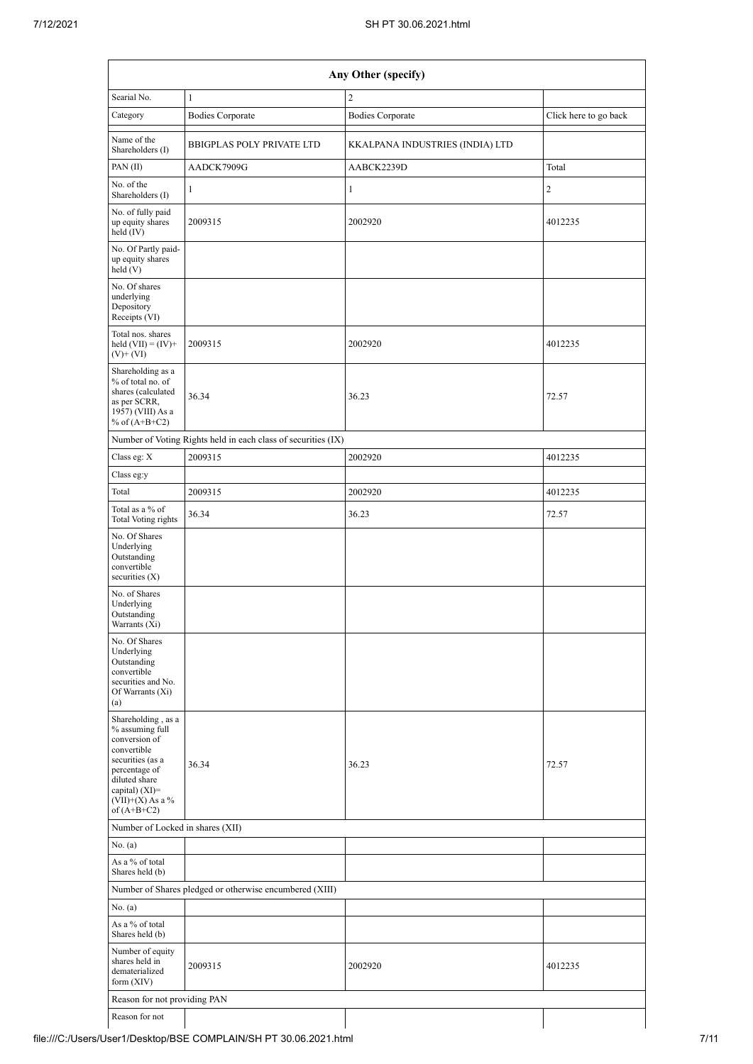|                                                                                                                                                                                        |                                                               | Any Other (specify)             |                       |
|----------------------------------------------------------------------------------------------------------------------------------------------------------------------------------------|---------------------------------------------------------------|---------------------------------|-----------------------|
| Searial No.                                                                                                                                                                            | $\mathbf{1}$                                                  | $\mathbf{2}$                    |                       |
| Category                                                                                                                                                                               | <b>Bodies Corporate</b>                                       | <b>Bodies Corporate</b>         | Click here to go back |
| Name of the<br>Shareholders (I)                                                                                                                                                        | <b>BBIGPLAS POLY PRIVATE LTD</b>                              | KKALPANA INDUSTRIES (INDIA) LTD |                       |
| PAN(II)                                                                                                                                                                                | AADCK7909G                                                    | AABCK2239D                      | Total                 |
| No. of the<br>Shareholders (I)                                                                                                                                                         | $\mathbf{1}$                                                  | $\mathbf{1}$                    | 2                     |
| No. of fully paid<br>up equity shares<br>held (IV)                                                                                                                                     | 2009315                                                       | 2002920                         | 4012235               |
| No. Of Partly paid-<br>up equity shares<br>held (V)                                                                                                                                    |                                                               |                                 |                       |
| No. Of shares<br>underlying<br>Depository<br>Receipts (VI)                                                                                                                             |                                                               |                                 |                       |
| Total nos. shares<br>held $(VII) = (IV) +$<br>$(V)$ + $(VI)$                                                                                                                           | 2009315                                                       | 2002920                         | 4012235               |
| Shareholding as a<br>% of total no. of<br>shares (calculated<br>as per SCRR,<br>1957) (VIII) As a<br>% of $(A+B+C2)$                                                                   | 36.34                                                         | 36.23                           | 72.57                 |
|                                                                                                                                                                                        | Number of Voting Rights held in each class of securities (IX) |                                 |                       |
| Class eg: X                                                                                                                                                                            | 2009315                                                       | 2002920                         | 4012235               |
| Class eg:y                                                                                                                                                                             |                                                               |                                 |                       |
| Total                                                                                                                                                                                  | 2009315                                                       | 2002920                         | 4012235               |
| Total as a % of<br><b>Total Voting rights</b>                                                                                                                                          | 36.34                                                         | 36.23                           | 72.57                 |
| No. Of Shares<br>Underlying<br>Outstanding<br>convertible<br>securities $(X)$                                                                                                          |                                                               |                                 |                       |
| No. of Shares<br>Underlying<br>Outstanding<br>Warrants (Xi)                                                                                                                            |                                                               |                                 |                       |
| No. Of Shares<br>Underlying<br>Outstanding<br>convertible<br>securities and No.<br>Of Warrants (Xi)<br>(a)                                                                             |                                                               |                                 |                       |
| Shareholding, as a<br>% assuming full<br>conversion of<br>convertible<br>securities (as a<br>percentage of<br>diluted share<br>capital) $(XI)=$<br>$(VII)+(X)$ As a %<br>of $(A+B+C2)$ | 36.34                                                         | 36.23                           | 72.57                 |
| Number of Locked in shares (XII)                                                                                                                                                       |                                                               |                                 |                       |
| No. (a)                                                                                                                                                                                |                                                               |                                 |                       |
| As a % of total<br>Shares held (b)                                                                                                                                                     |                                                               |                                 |                       |
|                                                                                                                                                                                        | Number of Shares pledged or otherwise encumbered (XIII)       |                                 |                       |
| No. (a)                                                                                                                                                                                |                                                               |                                 |                       |
| As a % of total<br>Shares held (b)                                                                                                                                                     |                                                               |                                 |                       |
| Number of equity<br>shares held in<br>dematerialized<br>form (XIV)                                                                                                                     | 2009315                                                       | 2002920                         | 4012235               |
| Reason for not providing PAN                                                                                                                                                           |                                                               |                                 |                       |
| Reason for not                                                                                                                                                                         |                                                               |                                 |                       |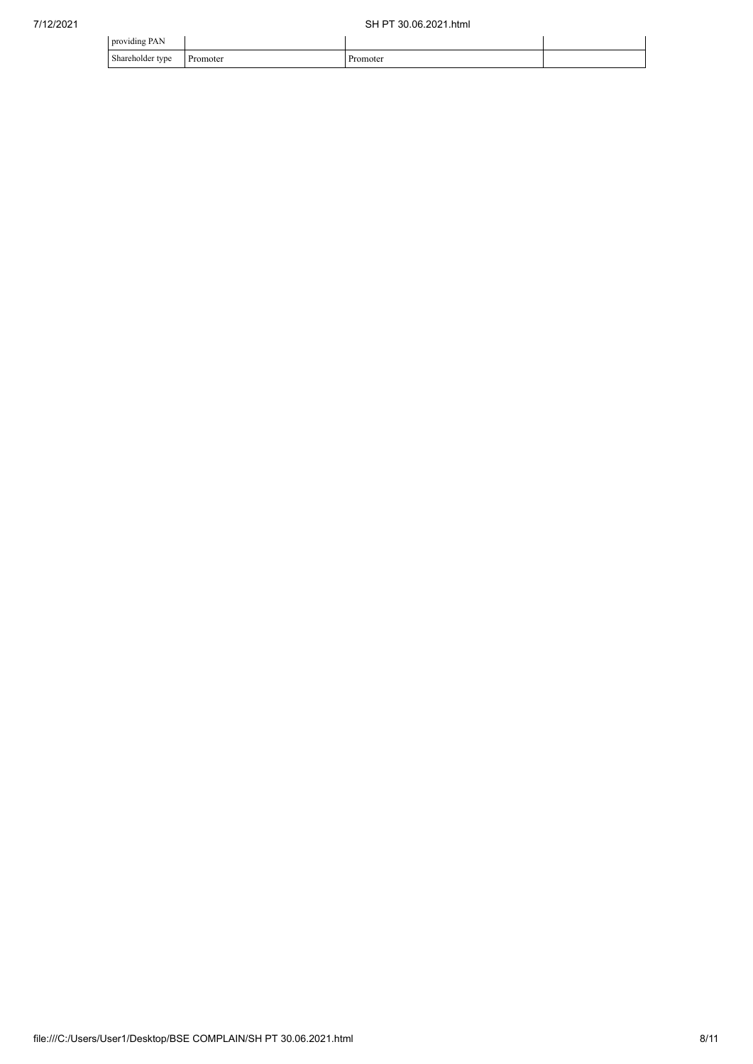| $\cdots$<br>providing PAN |          |        |  |
|---------------------------|----------|--------|--|
| Shareholder type<br>. .   | Promoter | omoter |  |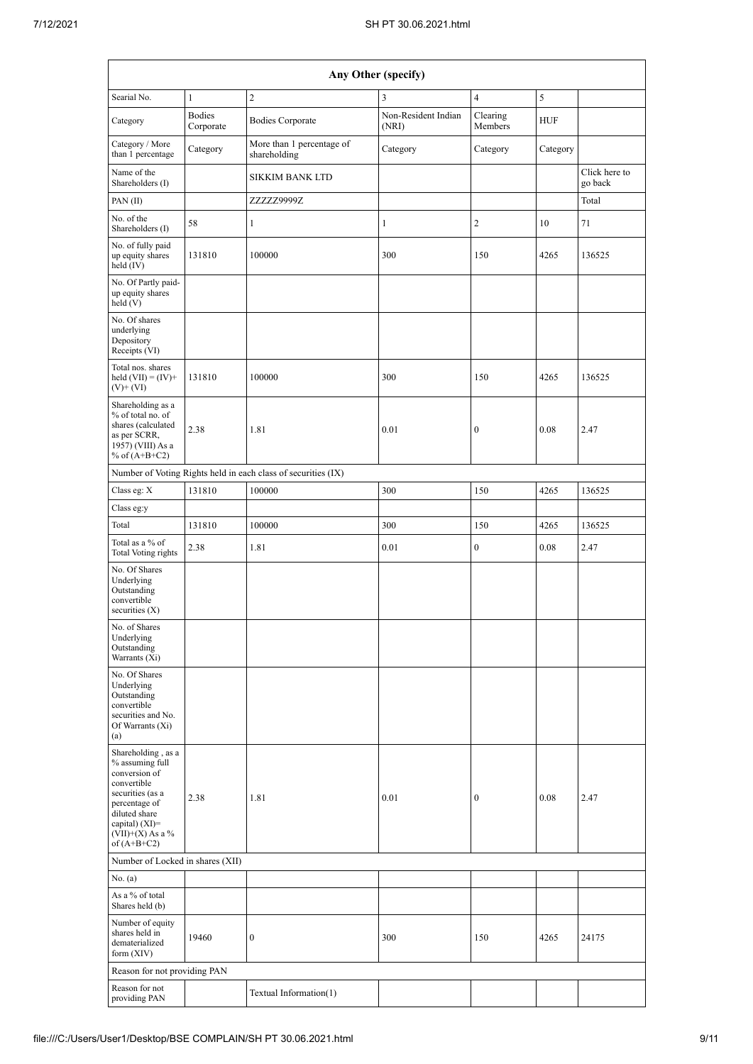|                                                                                                                                                                                        | Any Other (specify)        |                                                               |                              |                     |            |                          |  |  |  |  |  |  |
|----------------------------------------------------------------------------------------------------------------------------------------------------------------------------------------|----------------------------|---------------------------------------------------------------|------------------------------|---------------------|------------|--------------------------|--|--|--|--|--|--|
| Searial No.                                                                                                                                                                            | $\mathbf{1}$               | $\overline{c}$                                                | 3                            | $\overline{4}$      | 5          |                          |  |  |  |  |  |  |
| Category                                                                                                                                                                               | <b>Bodies</b><br>Corporate | <b>Bodies Corporate</b>                                       | Non-Resident Indian<br>(NRI) | Clearing<br>Members | <b>HUF</b> |                          |  |  |  |  |  |  |
| Category / More<br>than 1 percentage                                                                                                                                                   | Category                   | More than 1 percentage of<br>shareholding                     | Category                     | Category            | Category   |                          |  |  |  |  |  |  |
| Name of the<br>Shareholders (I)                                                                                                                                                        |                            | <b>SIKKIM BANK LTD</b>                                        |                              |                     |            | Click here to<br>go back |  |  |  |  |  |  |
| PAN(II)                                                                                                                                                                                |                            | ZZZZZ9999Z                                                    |                              |                     |            | Total                    |  |  |  |  |  |  |
| No. of the<br>Shareholders (I)                                                                                                                                                         | 58                         | $\mathbf{1}$                                                  | $\mathbf{1}$                 | $\overline{c}$      | 10         | 71                       |  |  |  |  |  |  |
| No. of fully paid<br>up equity shares<br>held (IV)                                                                                                                                     | 131810                     | 100000                                                        | 300                          | 150                 | 4265       | 136525                   |  |  |  |  |  |  |
| No. Of Partly paid-<br>up equity shares<br>held(V)                                                                                                                                     |                            |                                                               |                              |                     |            |                          |  |  |  |  |  |  |
| No. Of shares<br>underlying<br>Depository<br>Receipts (VI)                                                                                                                             |                            |                                                               |                              |                     |            |                          |  |  |  |  |  |  |
| Total nos. shares<br>held $(VII) = (IV) +$<br>$(V)$ + $(VI)$                                                                                                                           | 131810                     | 100000                                                        | 300                          | 150                 | 4265       | 136525                   |  |  |  |  |  |  |
| Shareholding as a<br>% of total no. of<br>shares (calculated<br>as per SCRR,<br>1957) (VIII) As a<br>% of $(A+B+C2)$                                                                   | 2.38                       | 1.81                                                          | 0.01                         | $\boldsymbol{0}$    | 0.08       | 2.47                     |  |  |  |  |  |  |
|                                                                                                                                                                                        |                            | Number of Voting Rights held in each class of securities (IX) |                              |                     |            |                          |  |  |  |  |  |  |
| Class eg: X                                                                                                                                                                            | 131810                     | 100000                                                        | 300                          | 150                 | 4265       | 136525                   |  |  |  |  |  |  |
| Class eg:y                                                                                                                                                                             |                            |                                                               |                              |                     |            |                          |  |  |  |  |  |  |
| Total                                                                                                                                                                                  | 131810                     | 100000                                                        | 300                          | 150                 | 4265       | 136525                   |  |  |  |  |  |  |
| Total as a % of<br>Total Voting rights                                                                                                                                                 | 2.38                       | 1.81                                                          | 0.01                         | $\boldsymbol{0}$    | 0.08       | 2.47                     |  |  |  |  |  |  |
| No. Of Shares<br>Underlying<br>Outstanding<br>convertible<br>securities $(X)$                                                                                                          |                            |                                                               |                              |                     |            |                          |  |  |  |  |  |  |
| No. of Shares<br>Underlying<br>Outstanding<br>Warrants (Xi)                                                                                                                            |                            |                                                               |                              |                     |            |                          |  |  |  |  |  |  |
| No. Of Shares<br>Underlying<br>Outstanding<br>convertible<br>securities and No.<br>Of Warrants (Xi)<br>(a)                                                                             |                            |                                                               |                              |                     |            |                          |  |  |  |  |  |  |
| Shareholding, as a<br>% assuming full<br>conversion of<br>convertible<br>securities (as a<br>percentage of<br>diluted share<br>capital) $(XI)=$<br>$(VII)+(X)$ As a %<br>of $(A+B+C2)$ | 2.38                       | 1.81                                                          | 0.01                         | $\boldsymbol{0}$    | 0.08       | 2.47                     |  |  |  |  |  |  |
| Number of Locked in shares (XII)                                                                                                                                                       |                            |                                                               |                              |                     |            |                          |  |  |  |  |  |  |
| No. (a)                                                                                                                                                                                |                            |                                                               |                              |                     |            |                          |  |  |  |  |  |  |
| As a % of total<br>Shares held (b)                                                                                                                                                     |                            |                                                               |                              |                     |            |                          |  |  |  |  |  |  |
| Number of equity<br>shares held in<br>dematerialized<br>form $(XIV)$                                                                                                                   | 19460                      | 0                                                             | 300                          | 150                 | 4265       | 24175                    |  |  |  |  |  |  |
| Reason for not providing PAN                                                                                                                                                           |                            |                                                               |                              |                     |            |                          |  |  |  |  |  |  |
| Reason for not<br>providing PAN                                                                                                                                                        |                            | Textual Information(1)                                        |                              |                     |            |                          |  |  |  |  |  |  |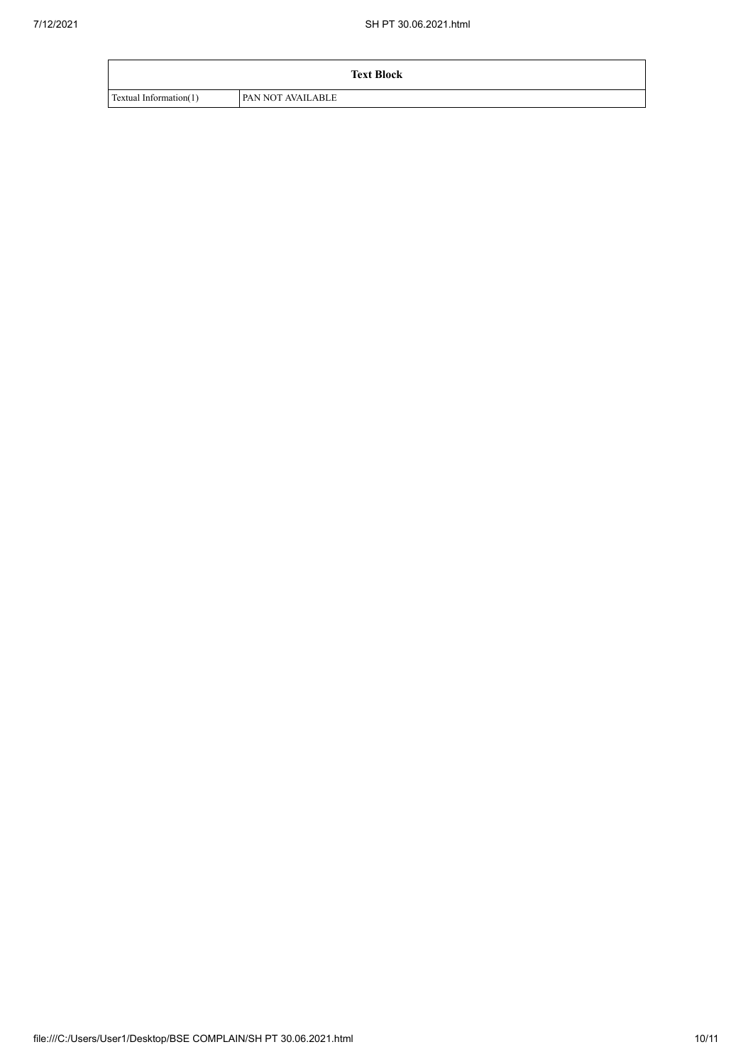|                        | <b>Text Block</b>        |  |
|------------------------|--------------------------|--|
| Textual Information(1) | <b>PAN NOT AVAILABLE</b> |  |